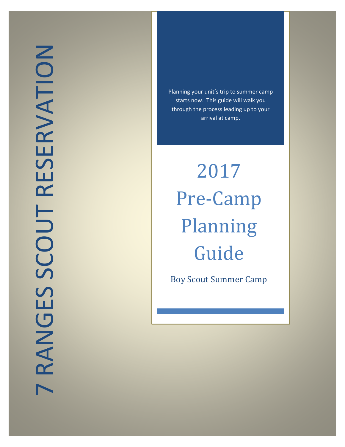Planning your unit's trip to summer camp starts now. This guide will walk you through the process leading up to your arrival at camp.

2017 Pre-Camp Planning Guide

Boy Scout Summer Camp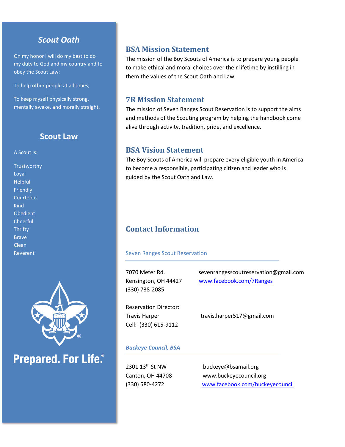# *Scout Oath*

On my honor I will do my best to do my duty to God and my country and to obey the Scout Law;

To help other people at all times;

To keep myself physically strong, mentally awake, and morally straight.

# **Scout Law**

#### A Scout Is:

**Trustworthy** Loyal Helpful Friendly **Courteous Kind** Obedient **Cheerful Thrifty** Brave Clean Reverent



# **Prepared. For Life.**®

# **BSA Mission Statement**

The mission of the Boy Scouts of America is to prepare young people to make ethical and moral choices over their lifetime by instilling in them the values of the Scout Oath and Law.

# **7R Mission Statement**

The mission of Seven Ranges Scout Reservation is to support the aims and methods of the Scouting program by helping the handbook come alive through activity, tradition, pride, and excellence.

# **BSA Vision Statement**

The Boy Scouts of America will prepare every eligible youth in America to become a responsible, participating citizen and leader who is guided by the Scout Oath and Law.

# **Contact Information**

#### Seven Ranges Scout Reservation

| 7070 Meter Rd.       |
|----------------------|
| Kensington, OH 44427 |
| (330) 738-2085       |

sevenrangesscoutreservation@gmail.com [www.facebook.com/7Ranges](http://www.facebook.com/7Ranges)

Reservation Director: Cell: (330) 615-9112

Travis Harper Travis.harper517@gmail.com

#### *Buckeye Council, BSA*

2301 13<sup>th</sup> St NW buckeye@bsamail.org Canton, OH 44708 www.buckeyecouncil.org (330) 580-4272 [www.facebook.com/buckeyecouncil](http://www.facebook.com/buckeyecouncil)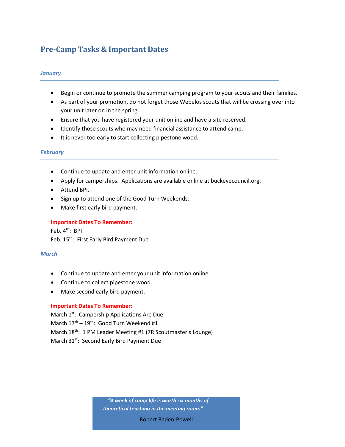# **Pre-Camp Tasks & Important Dates**

#### *January*

- Begin or continue to promote the summer camping program to your scouts and their families.
- As part of your promotion, do not forget those Webelos scouts that will be crossing over into your unit later on in the spring.
- Ensure that you have registered your unit online and have a site reserved.
- Identify those scouts who may need financial assistance to attend camp.
- It is never too early to start collecting pipestone wood.

#### *February*

- Continue to update and enter unit information online.
- Apply for camperships. Applications are available online at buckeyecouncil.org.
- Attend BPI.
- Sign up to attend one of the Good Turn Weekends.
- Make first early bird payment.

**Important Dates To Remember:** Feb. 4th: BPI Feb. 15<sup>th</sup>: First Early Bird Payment Due

#### *March*

- Continue to update and enter your unit information online.
- Continue to collect pipestone wood.
- Make second early bird payment.

#### **Important Dates To Remember:**

March 1<sup>st</sup>: Campership Applications Are Due March  $17^{\text{th}} - 19^{\text{th}}$ : Good Turn Weekend #1 March 18<sup>th</sup>: 1 PM Leader Meeting #1 (7R Scoutmaster's Lounge) March 31<sup>st</sup>: Second Early Bird Payment Due

> *"A week of camp life is worth six months of theoretical teaching in the meeting room."*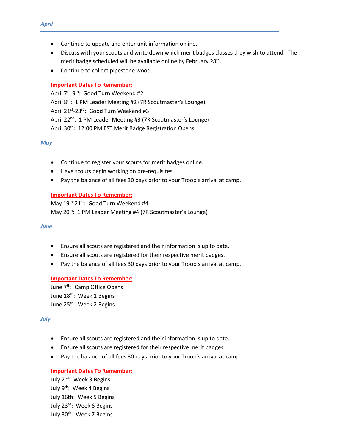- Continue to update and enter unit information online.
- Discuss with your scouts and write down which merit badges classes they wish to attend. The merit badge scheduled will be available online by February 28<sup>th</sup>.
- Continue to collect pipestone wood.

#### **Important Dates To Remember:**

April 7<sup>th</sup>-9<sup>th</sup>: Good Turn Weekend #2 April 8<sup>th</sup>: 1 PM Leader Meeting #2 (7R Scoutmaster's Lounge) April 21<sup>st</sup>-23<sup>rd</sup>: Good Turn Weekend #3 April 22<sup>nd</sup>: 1 PM Leader Meeting #3 (7R Scoutmaster's Lounge) April 30<sup>th</sup>: 12:00 PM EST Merit Badge Registration Opens

*May*

- Continue to register your scouts for merit badges online.
- Have scouts begin working on pre-requisites
- Pay the balance of all fees 30 days prior to your Troop's arrival at camp.

#### **Important Dates To Remember:**

May 19<sup>th</sup>-21<sup>st</sup>: Good Turn Weekend #4 May 20<sup>th</sup>: 1 PM Leader Meeting #4 (7R Scoutmaster's Lounge)

#### *June*

- Ensure all scouts are registered and their information is up to date.
- Ensure all scouts are registered for their respective merit badges.
- Pay the balance of all fees 30 days prior to your Troop's arrival at camp.

#### **Important Dates To Remember:**

June 7<sup>th</sup>: Camp Office Opens June 18<sup>th</sup>: Week 1 Begins June 25<sup>th</sup>: Week 2 Begins

#### *July*

- Ensure all scouts are registered and their information is up to date.
- Ensure all scouts are registered for their respective merit badges.
- Pay the balance of all fees 30 days prior to your Troop's arrival at camp.

#### **Important Dates To Remember:**

July 2<sup>nd</sup>: Week 3 Begins July 9<sup>th</sup>: Week 4 Begins July 16th: Week 5 Begins July 23rd: Week 6 Begins July 30<sup>th</sup>: Week 7 Begins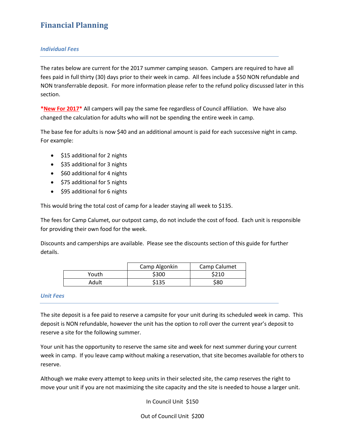# **Financial Planning**

#### *Individual Fees*

The rates below are current for the 2017 summer camping season. Campers are required to have all fees paid in full thirty (30) days prior to their week in camp. All fees include a \$50 NON refundable and NON transferrable deposit. For more information please refer to the refund policy discussed later in this section.

**\*New For 2017\*** All campers will pay the same fee regardless of Council affiliation. We have also changed the calculation for adults who will not be spending the entire week in camp.

The base fee for adults is now \$40 and an additional amount is paid for each successive night in camp. For example:

- \$15 additional for 2 nights
- \$35 additional for 3 nights
- \$60 additional for 4 nights
- \$75 additional for 5 nights
- \$95 additional for 6 nights

This would bring the total cost of camp for a leader staying all week to \$135.

The fees for Camp Calumet, our outpost camp, do not include the cost of food. Each unit is responsible for providing their own food for the week.

Discounts and camperships are available. Please see the discounts section of this guide for further details.

|       | Camp Algonkin | Camp Calumet |
|-------|---------------|--------------|
| Youth | \$300         | \$210        |
| Adult | \$135         | \$80         |

#### *Unit Fees*

The site deposit is a fee paid to reserve a campsite for your unit during its scheduled week in camp. This deposit is NON refundable, however the unit has the option to roll over the current year's deposit to reserve a site for the following summer.

Your unit has the opportunity to reserve the same site and week for next summer during your current week in camp. If you leave camp without making a reservation, that site becomes available for others to reserve.

Although we make every attempt to keep units in their selected site, the camp reserves the right to move your unit if you are not maximizing the site capacity and the site is needed to house a larger unit.

In Council Unit \$150

Out of Council Unit \$200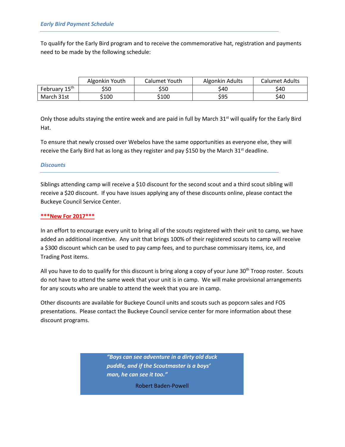To qualify for the Early Bird program and to receive the commemorative hat, registration and payments need to be made by the following schedule:

|                           | Algonkin Youth | Calumet Youth | Algonkin Adults | <b>Calumet Adults</b> |
|---------------------------|----------------|---------------|-----------------|-----------------------|
| February 15 <sup>th</sup> | \$50           | \$50          | \$40            | \$40                  |
| March 31st                | \$100          | \$100         | \$95            | \$40                  |

Only those adults staying the entire week and are paid in full by March 31<sup>st</sup> will qualify for the Early Bird Hat.

To ensure that newly crossed over Webelos have the same opportunities as everyone else, they will receive the Early Bird hat as long as they register and pay \$150 by the March 31 $st$  deadline.

#### *Discounts*

Siblings attending camp will receive a \$10 discount for the second scout and a third scout sibling will receive a \$20 discount. If you have issues applying any of these discounts online, please contact the Buckeye Council Service Center.

#### **\*\*\*New For 2017\*\*\***

In an effort to encourage every unit to bring all of the scouts registered with their unit to camp, we have added an additional incentive. Any unit that brings 100% of their registered scouts to camp will receive a \$300 discount which can be used to pay camp fees, and to purchase commissary items, ice, and Trading Post items.

All you have to do to qualify for this discount is bring along a copy of your June  $30<sup>th</sup>$  Troop roster. Scouts do not have to attend the same week that your unit is in camp. We will make provisional arrangements for any scouts who are unable to attend the week that you are in camp.

Other discounts are available for Buckeye Council units and scouts such as popcorn sales and FOS presentations. Please contact the Buckeye Council service center for more information about these discount programs.

> *"Boys can see adventure in a dirty old duck puddle, and if the Scoutmaster is a boys' man, he can see it too."*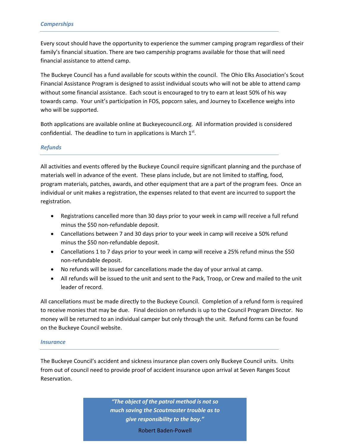Every scout should have the opportunity to experience the summer camping program regardless of their family's financial situation. There are two campership programs available for those that will need financial assistance to attend camp.

The Buckeye Council has a fund available for scouts within the council. The Ohio Elks Association's Scout Financial Assistance Program is designed to assist individual scouts who will not be able to attend camp without some financial assistance. Each scout is encouraged to try to earn at least 50% of his way towards camp. Your unit's participation in FOS, popcorn sales, and Journey to Excellence weighs into who will be supported.

Both applications are available online at Buckeyecouncil.org. All information provided is considered confidential. The deadline to turn in applications is March  $1<sup>st</sup>$ .

## *Refunds*

All activities and events offered by the Buckeye Council require significant planning and the purchase of materials well in advance of the event. These plans include, but are not limited to staffing, food, program materials, patches, awards, and other equipment that are a part of the program fees. Once an individual or unit makes a registration, the expenses related to that event are incurred to support the registration.

- Registrations cancelled more than 30 days prior to your week in camp will receive a full refund minus the \$50 non-refundable deposit.
- Cancellations between 7 and 30 days prior to your week in camp will receive a 50% refund minus the \$50 non-refundable deposit.
- Cancellations 1 to 7 days prior to your week in camp will receive a 25% refund minus the \$50 non-refundable deposit.
- No refunds will be issued for cancellations made the day of your arrival at camp.
- All refunds will be issued to the unit and sent to the Pack, Troop, or Crew and mailed to the unit leader of record.

All cancellations must be made directly to the Buckeye Council. Completion of a refund form is required to receive monies that may be due. Final decision on refunds is up to the Council Program Director. No money will be returned to an individual camper but only through the unit. Refund forms can be found on the Buckeye Council website.

#### *Insurance*

The Buckeye Council's accident and sickness insurance plan covers only Buckeye Council units. Units from out of council need to provide proof of accident insurance upon arrival at Seven Ranges Scout Reservation.

> *"The object of the patrol method is not so much saving the Scoutmaster trouble as to give responsibility to the boy."*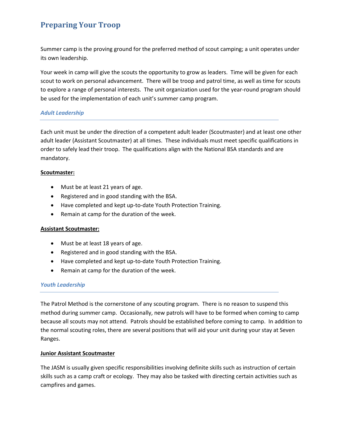# **Preparing Your Troop**

Summer camp is the proving ground for the preferred method of scout camping; a unit operates under its own leadership.

Your week in camp will give the scouts the opportunity to grow as leaders. Time will be given for each scout to work on personal advancement. There will be troop and patrol time, as well as time for scouts to explore a range of personal interests. The unit organization used for the year-round program should be used for the implementation of each unit's summer camp program.

## *Adult Leadership*

Each unit must be under the direction of a competent adult leader (Scoutmaster) and at least one other adult leader (Assistant Scoutmaster) at all times. These individuals must meet specific qualifications in order to safely lead their troop. The qualifications align with the National BSA standards and are mandatory.

## **Scoutmaster:**

- Must be at least 21 years of age.
- Registered and in good standing with the BSA.
- Have completed and kept up-to-date Youth Protection Training.
- Remain at camp for the duration of the week.

#### **Assistant Scoutmaster:**

- Must be at least 18 years of age.
- Registered and in good standing with the BSA.
- Have completed and kept up-to-date Youth Protection Training.
- Remain at camp for the duration of the week.

#### *Youth Leadership*

The Patrol Method is the cornerstone of any scouting program. There is no reason to suspend this method during summer camp. Occasionally, new patrols will have to be formed when coming to camp because all scouts may not attend. Patrols should be established before coming to camp. In addition to the normal scouting roles, there are several positions that will aid your unit during your stay at Seven Ranges.

#### **Junior Assistant Scoutmaster**

The JASM is usually given specific responsibilities involving definite skills such as instruction of certain skills such as a camp craft or ecology. They may also be tasked with directing certain activities such as campfires and games.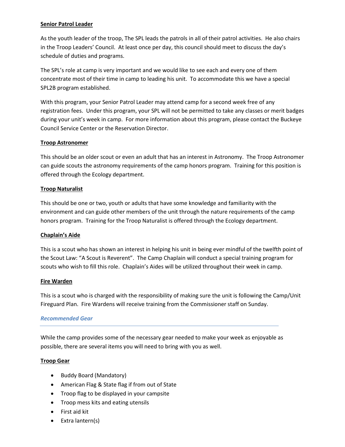### **Senior Patrol Leader**

As the youth leader of the troop, The SPL leads the patrols in all of their patrol activities. He also chairs in the Troop Leaders' Council. At least once per day, this council should meet to discuss the day's schedule of duties and programs.

The SPL's role at camp is very important and we would like to see each and every one of them concentrate most of their time in camp to leading his unit. To accommodate this we have a special SPL2B program established.

With this program, your Senior Patrol Leader may attend camp for a second week free of any registration fees. Under this program, your SPL will not be permitted to take any classes or merit badges during your unit's week in camp. For more information about this program, please contact the Buckeye Council Service Center or the Reservation Director.

## **Troop Astronomer**

This should be an older scout or even an adult that has an interest in Astronomy. The Troop Astronomer can guide scouts the astronomy requirements of the camp honors program. Training for this position is offered through the Ecology department.

## **Troop Naturalist**

This should be one or two, youth or adults that have some knowledge and familiarity with the environment and can guide other members of the unit through the nature requirements of the camp honors program. Training for the Troop Naturalist is offered through the Ecology department.

#### **Chaplain's Aide**

This is a scout who has shown an interest in helping his unit in being ever mindful of the twelfth point of the Scout Law: "A Scout is Reverent". The Camp Chaplain will conduct a special training program for scouts who wish to fill this role. Chaplain's Aides will be utilized throughout their week in camp.

#### **Fire Warden**

This is a scout who is charged with the responsibility of making sure the unit is following the Camp/Unit Fireguard Plan. Fire Wardens will receive training from the Commissioner staff on Sunday.

#### *Recommended Gear*

While the camp provides some of the necessary gear needed to make your week as enjoyable as possible, there are several items you will need to bring with you as well.

#### **Troop Gear**

- Buddy Board (Mandatory)
- American Flag & State flag if from out of State
- Troop flag to be displayed in your campsite
- Troop mess kits and eating utensils
- First aid kit
- $\bullet$  Extra lantern(s)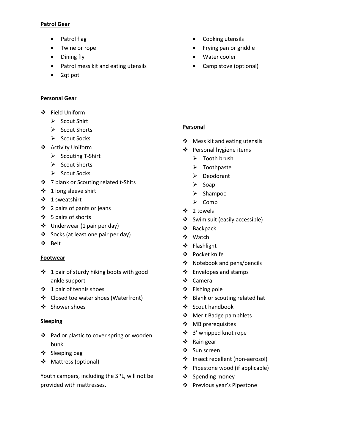#### **Patrol Gear**

- Patrol flag
- Twine or rope
- Dining fly
- Patrol mess kit and eating utensils
- 2qt pot

# **Personal Gear**

- Field Uniform
	- $\triangleright$  Scout Shirt
	- $\triangleright$  Scout Shorts
	- $\triangleright$  Scout Socks
- Activity Uniform
	- $\triangleright$  Scouting T-Shirt
	- $\triangleright$  Scout Shorts
	- $\triangleright$  Scout Socks
- ❖ 7 blank or Scouting related t-Shits
- ❖ 1 long sleeve shirt
- 1 sweatshirt
- $\div$  2 pairs of pants or jeans
- 5 pairs of shorts
- Underwear (1 pair per day)
- Socks (at least one pair per day)
- ◆ Belt

# **Footwear**

- ❖ 1 pair of sturdy hiking boots with good ankle support
- ❖ 1 pair of tennis shoes
- Closed toe water shoes (Waterfront)
- ❖ Shower shoes

# **Sleeping**

- ❖ Pad or plastic to cover spring or wooden bunk
- ❖ Sleeping bag
- ❖ Mattress (optional)

Youth campers, including the SPL, will not be provided with mattresses.

- Cooking utensils
- Frying pan or griddle
- Water cooler
- Camp stove (optional)

# **Personal**

- ❖ Mess kit and eating utensils
- ❖ Personal hygiene items
	- $\triangleright$  Tooth brush
	- > Toothpaste
	- Deodorant
	- $\triangleright$  Soap
	- $\triangleright$  Shampoo
	- $\triangleright$  Comb
- 2 towels
- Swim suit (easily accessible)
- Backpack
- Watch
- Flashlight
- Pocket knife
- Notebook and pens/pencils
- ❖ Envelopes and stamps
- Camera
- $\div$  Fishing pole
- Blank or scouting related hat
- ❖ Scout handbook
- ❖ Merit Badge pamphlets
- ❖ MB prerequisites
- 3' whipped knot rope
- ❖ Rain gear
- ❖ Sun screen
- Insect repellent (non-aerosol)
- Pipestone wood (if applicable)
- $\div$  Spending money
- Previous year's Pipestone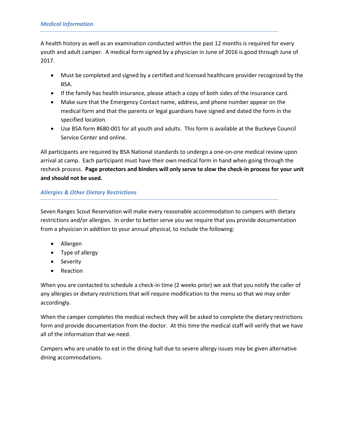A health history as well as an examination conducted within the past 12 months is required for every youth and adult camper. A medical form signed by a physician in June of 2016 is good through June of 2017.

- Must be completed and signed by a certified and licensed healthcare provider recognized by the BSA.
- If the family has health insurance, please attach a copy of both sides of the insurance card.
- Make sure that the Emergency Contact name, address, and phone number appear on the medical form and that the parents or legal guardians have signed and dated the form in the specified location.
- Use BSA form #680-001 for all youth and adults. This form is available at the Buckeye Council Service Center and online.

All participants are required by BSA National standards to undergo a one-on-one medical review upon arrival at camp. Each participant must have their own medical form in hand when going through the recheck process. **Page protectors and binders will only serve to slow the check-in process for your unit and should not be used.**

# *Allergies & Other Dietary Restrictions*

Seven Ranges Scout Reservation will make every reasonable accommodation to campers with dietary restrictions and/or allergies. In order to better serve you we require that you provide documentation from a physician in addition to your annual physical, to include the following:

- Allergen
- Type of allergy
- Severity
- Reaction

When you are contacted to schedule a check-in time (2 weeks prior) we ask that you notify the caller of any allergies or dietary restrictions that will require modification to the menu so that we may order accordingly.

When the camper completes the medical recheck they will be asked to complete the dietary restrictions form and provide documentation from the doctor. At this time the medical staff will verify that we have all of the information that we need.

Campers who are unable to eat in the dining hall due to severe allergy issues may be given alternative dining accommodations.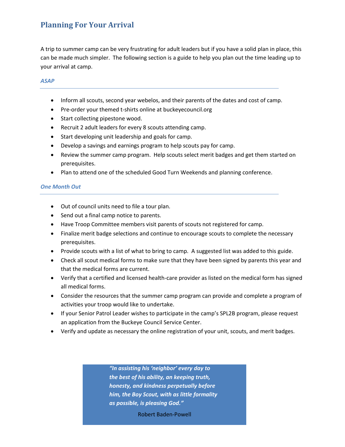# **Planning For Your Arrival**

A trip to summer camp can be very frustrating for adult leaders but if you have a solid plan in place, this can be made much simpler. The following section is a guide to help you plan out the time leading up to your arrival at camp.

### *ASAP*

- Inform all scouts, second year webelos, and their parents of the dates and cost of camp.
- Pre-order your themed t-shirts online at buckeyecouncil.org
- Start collecting pipestone wood.
- Recruit 2 adult leaders for every 8 scouts attending camp.
- Start developing unit leadership and goals for camp.
- Develop a savings and earnings program to help scouts pay for camp.
- Review the summer camp program. Help scouts select merit badges and get them started on prerequisites.
- Plan to attend one of the scheduled Good Turn Weekends and planning conference.

## *One Month Out*

- Out of council units need to file a tour plan.
- Send out a final camp notice to parents.
- Have Troop Committee members visit parents of scouts not registered for camp.
- Finalize merit badge selections and continue to encourage scouts to complete the necessary prerequisites.
- Provide scouts with a list of what to bring to camp. A suggested list was added to this guide.
- Check all scout medical forms to make sure that they have been signed by parents this year and that the medical forms are current.
- Verify that a certified and licensed health-care provider as listed on the medical form has signed all medical forms.
- Consider the resources that the summer camp program can provide and complete a program of activities your troop would like to undertake.
- If your Senior Patrol Leader wishes to participate in the camp's SPL2B program, please request an application from the Buckeye Council Service Center.
- Verify and update as necessary the online registration of your unit, scouts, and merit badges.

*"In assisting his 'neighbor' every day to the best of his ability, an keeping truth, honesty, and kindness perpetually before him, the Boy Scout, with as little formality as possible, is pleasing God."*